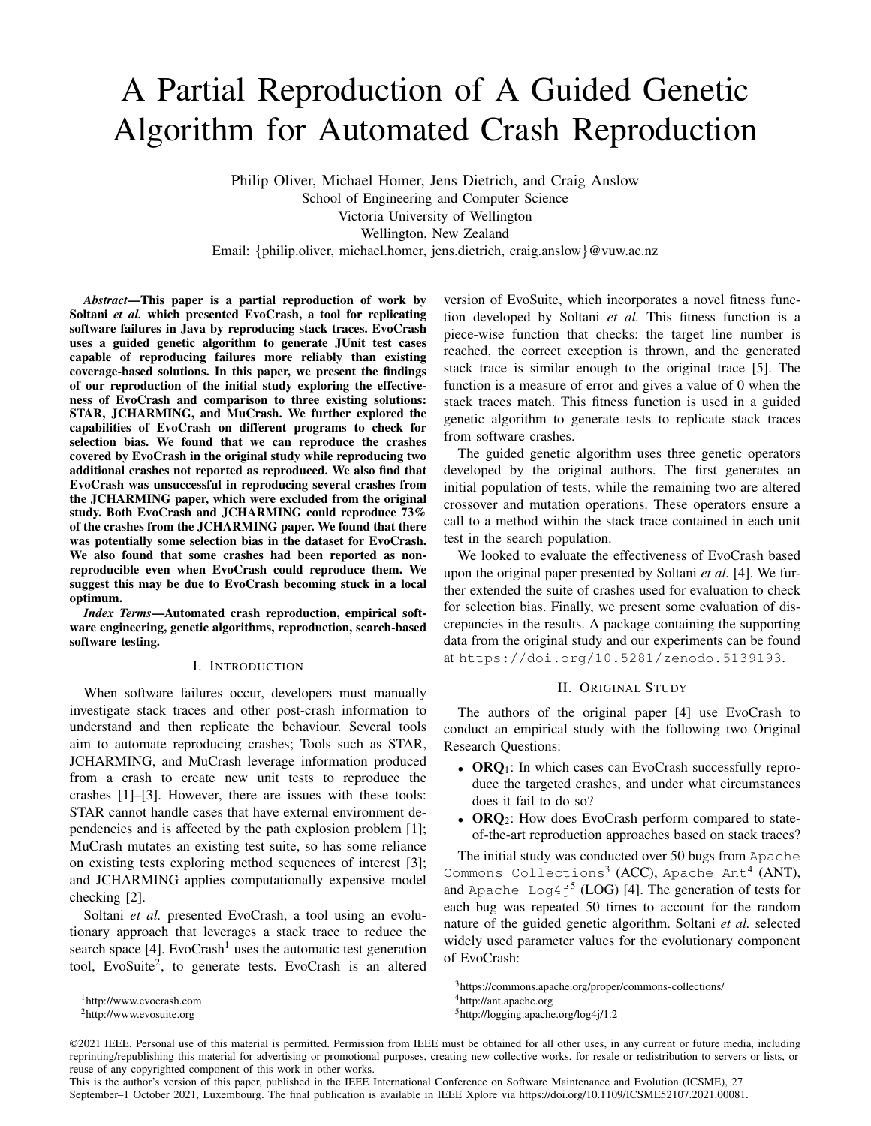# A Partial Reproduction of A Guided Genetic Algorithm for Automated Crash Reproduction

Philip Oliver, Michael Homer, Jens Dietrich, and Craig Anslow School of Engineering and Computer Science Victoria University of Wellington Wellington, New Zealand Email: {philip.oliver, michael.homer, jens.dietrich, craig.anslow}@vuw.ac.nz

*Abstract*—This paper is a partial reproduction of work by Soltani *et al.* which presented EvoCrash, a tool for replicating software failures in Java by reproducing stack traces. EvoCrash uses a guided genetic algorithm to generate JUnit test cases capable of reproducing failures more reliably than existing coverage-based solutions. In this paper, we present the findings of our reproduction of the initial study exploring the effectiveness of EvoCrash and comparison to three existing solutions: STAR, JCHARMING, and MuCrash. We further explored the capabilities of EvoCrash on different programs to check for selection bias. We found that we can reproduce the crashes covered by EvoCrash in the original study while reproducing two additional crashes not reported as reproduced. We also find that EvoCrash was unsuccessful in reproducing several crashes from the JCHARMING paper, which were excluded from the original study. Both EvoCrash and JCHARMING could reproduce 73% of the crashes from the JCHARMING paper. We found that there was potentially some selection bias in the dataset for EvoCrash. We also found that some crashes had been reported as nonreproducible even when EvoCrash could reproduce them. We suggest this may be due to EvoCrash becoming stuck in a local optimum.

*Index Terms*—Automated crash reproduction, empirical software engineering, genetic algorithms, reproduction, search-based software testing.

### I. INTRODUCTION

When software failures occur, developers must manually investigate stack traces and other post-crash information to understand and then replicate the behaviour. Several tools aim to automate reproducing crashes; Tools such as STAR, JCHARMING, and MuCrash leverage information produced from a crash to create new unit tests to reproduce the crashes [\[1\]](#page-4-0)–[\[3\]](#page-4-1). However, there are issues with these tools: STAR cannot handle cases that have external environment dependencies and is affected by the path explosion problem [\[1\]](#page-4-0); MuCrash mutates an existing test suite, so has some reliance on existing tests exploring method sequences of interest [\[3\]](#page-4-1); and JCHARMING applies computationally expensive model checking [\[2\]](#page-4-2).

Soltani *et al.* presented EvoCrash, a tool using an evolutionary approach that leverages a stack trace to reduce the search space [\[4\]](#page-4-3). EvoCrash<sup>[1](#page-0-0)</sup> uses the automatic test generation tool, EvoSuite<sup>[2](#page-0-1)</sup>, to generate tests. EvoCrash is an altered version of EvoSuite, which incorporates a novel fitness function developed by Soltani *et al.* This fitness function is a piece-wise function that checks: the target line number is reached, the correct exception is thrown, and the generated stack trace is similar enough to the original trace [\[5\]](#page-4-4). The function is a measure of error and gives a value of 0 when the stack traces match. This fitness function is used in a guided genetic algorithm to generate tests to replicate stack traces from software crashes.

The guided genetic algorithm uses three genetic operators developed by the original authors. The first generates an initial population of tests, while the remaining two are altered crossover and mutation operations. These operators ensure a call to a method within the stack trace contained in each unit test in the search population.

We looked to evaluate the effectiveness of EvoCrash based upon the original paper presented by Soltani *et al.* [\[4\]](#page-4-3). We further extended the suite of crashes used for evaluation to check for selection bias. Finally, we present some evaluation of discrepancies in the results. A package containing the supporting data from the original study and our experiments can be found at <https://doi.org/10.5281/zenodo.5139193>.

#### II. ORIGINAL STUDY

The authors of the original paper [\[4\]](#page-4-3) use EvoCrash to conduct an empirical study with the following two Original Research Questions:

- ORQ<sub>1</sub>: In which cases can EvoCrash successfully reproduce the targeted crashes, and under what circumstances does it fail to do so?
- ORQ<sub>2</sub>: How does EvoCrash perform compared to stateof-the-art reproduction approaches based on stack traces?

The initial study was conducted over 50 bugs from Apache Commons Collections<sup>[3](#page-0-2)</sup> (ACC), Apache Ant<sup>[4](#page-0-3)</sup> (ANT), and Apache Log4 $j^5$  $j^5$  (LOG) [\[4\]](#page-4-3). The generation of tests for each bug was repeated 50 times to account for the random nature of the guided genetic algorithm. Soltani *et al.* selected widely used parameter values for the evolutionary component of EvoCrash:

©2021 IEEE. Personal use of this material is permitted. Permission from IEEE must be obtained for all other uses, in any current or future media, including reprinting/republishing this material for advertising or promotional purposes, creating new collective works, for resale or redistribution to servers or lists, or reuse of any copyrighted component of this work in other works.

This is the author's version of this paper, published in the IEEE International Conference on Software Maintenance and Evolution (ICSME), 27 September–1 October 2021, Luxembourg. The final publication is available in IEEE Xplore via [https://doi.org/10.1109/ICSME52107.2021.00081.](https://doi.org/10.1109/ICSME52107.2021.00081)

<span id="page-0-0"></span><sup>1</sup><http://www.evocrash.com>

<span id="page-0-1"></span><sup>2</sup><http://www.evosuite.org>

<span id="page-0-2"></span><sup>3</sup><https://commons.apache.org/proper/commons-collections/>

<span id="page-0-3"></span><sup>4</sup><http://ant.apache.org>

<span id="page-0-4"></span><sup>5</sup><http://logging.apache.org/log4j/1.2>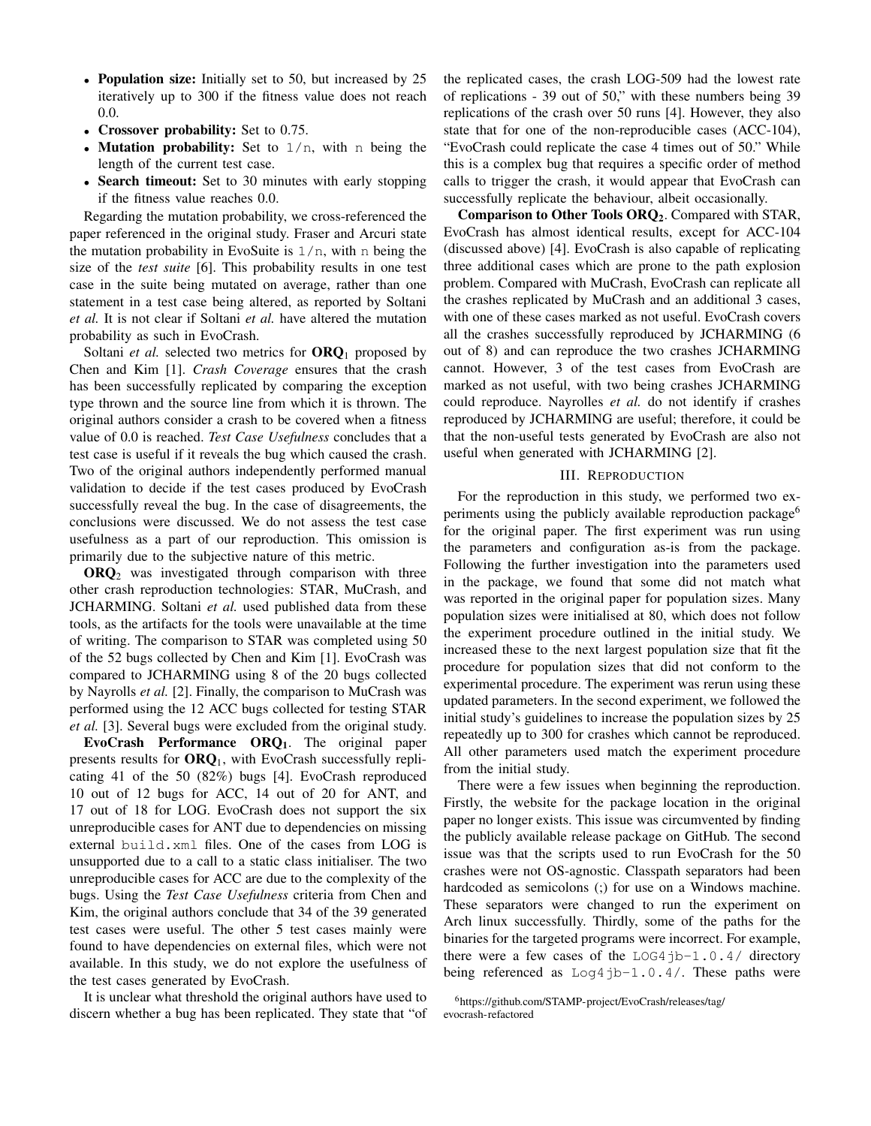- Population size: Initially set to 50, but increased by 25 iteratively up to 300 if the fitness value does not reach 0.0.
- Crossover probability: Set to 0.75.
- Mutation probability: Set to  $1/n$ , with n being the length of the current test case.
- Search timeout: Set to 30 minutes with early stopping if the fitness value reaches 0.0.

Regarding the mutation probability, we cross-referenced the paper referenced in the original study. Fraser and Arcuri state the mutation probability in EvoSuite is  $1/n$ , with n being the size of the *test suite* [\[6\]](#page-4-5). This probability results in one test case in the suite being mutated on average, rather than one statement in a test case being altered, as reported by Soltani *et al.* It is not clear if Soltani *et al.* have altered the mutation probability as such in EvoCrash.

Soltani *et al.* selected two metrics for  $ORQ<sub>1</sub>$  proposed by Chen and Kim [\[1\]](#page-4-0). *Crash Coverage* ensures that the crash has been successfully replicated by comparing the exception type thrown and the source line from which it is thrown. The original authors consider a crash to be covered when a fitness value of 0.0 is reached. *Test Case Usefulness* concludes that a test case is useful if it reveals the bug which caused the crash. Two of the original authors independently performed manual validation to decide if the test cases produced by EvoCrash successfully reveal the bug. In the case of disagreements, the conclusions were discussed. We do not assess the test case usefulness as a part of our reproduction. This omission is primarily due to the subjective nature of this metric.

 $ORQ<sub>2</sub>$  was investigated through comparison with three other crash reproduction technologies: STAR, MuCrash, and JCHARMING. Soltani *et al.* used published data from these tools, as the artifacts for the tools were unavailable at the time of writing. The comparison to STAR was completed using 50 of the 52 bugs collected by Chen and Kim [\[1\]](#page-4-0). EvoCrash was compared to JCHARMING using 8 of the 20 bugs collected by Nayrolls *et al.* [\[2\]](#page-4-2). Finally, the comparison to MuCrash was performed using the 12 ACC bugs collected for testing STAR *et al.* [\[3\]](#page-4-1). Several bugs were excluded from the original study.

EvoCrash Performance  $ORQ<sub>1</sub>$ . The original paper presents results for  $ORQ_1$ , with EvoCrash successfully replicating 41 of the 50 (82%) bugs [\[4\]](#page-4-3). EvoCrash reproduced 10 out of 12 bugs for ACC, 14 out of 20 for ANT, and 17 out of 18 for LOG. EvoCrash does not support the six unreproducible cases for ANT due to dependencies on missing external build.xml files. One of the cases from LOG is unsupported due to a call to a static class initialiser. The two unreproducible cases for ACC are due to the complexity of the bugs. Using the *Test Case Usefulness* criteria from Chen and Kim, the original authors conclude that 34 of the 39 generated test cases were useful. The other 5 test cases mainly were found to have dependencies on external files, which were not available. In this study, we do not explore the usefulness of the test cases generated by EvoCrash.

It is unclear what threshold the original authors have used to discern whether a bug has been replicated. They state that "of the replicated cases, the crash LOG-509 had the lowest rate of replications - 39 out of 50," with these numbers being 39 replications of the crash over 50 runs [\[4\]](#page-4-3). However, they also state that for one of the non-reproducible cases (ACC-104), "EvoCrash could replicate the case 4 times out of 50." While this is a complex bug that requires a specific order of method calls to trigger the crash, it would appear that EvoCrash can successfully replicate the behaviour, albeit occasionally.

Comparison to Other Tools ORQ2. Compared with STAR, EvoCrash has almost identical results, except for ACC-104 (discussed above) [\[4\]](#page-4-3). EvoCrash is also capable of replicating three additional cases which are prone to the path explosion problem. Compared with MuCrash, EvoCrash can replicate all the crashes replicated by MuCrash and an additional 3 cases, with one of these cases marked as not useful. EvoCrash covers all the crashes successfully reproduced by JCHARMING (6 out of 8) and can reproduce the two crashes JCHARMING cannot. However, 3 of the test cases from EvoCrash are marked as not useful, with two being crashes JCHARMING could reproduce. Nayrolles *et al.* do not identify if crashes reproduced by JCHARMING are useful; therefore, it could be that the non-useful tests generated by EvoCrash are also not useful when generated with JCHARMING [\[2\]](#page-4-2).

#### III. REPRODUCTION

For the reproduction in this study, we performed two ex-periments using the publicly available reproduction package<sup>[6](#page-1-0)</sup> for the original paper. The first experiment was run using the parameters and configuration as-is from the package. Following the further investigation into the parameters used in the package, we found that some did not match what was reported in the original paper for population sizes. Many population sizes were initialised at 80, which does not follow the experiment procedure outlined in the initial study. We increased these to the next largest population size that fit the procedure for population sizes that did not conform to the experimental procedure. The experiment was rerun using these updated parameters. In the second experiment, we followed the initial study's guidelines to increase the population sizes by 25 repeatedly up to 300 for crashes which cannot be reproduced. All other parameters used match the experiment procedure from the initial study.

There were a few issues when beginning the reproduction. Firstly, the website for the package location in the original paper no longer exists. This issue was circumvented by finding the publicly available release package on GitHub. The second issue was that the scripts used to run EvoCrash for the 50 crashes were not OS-agnostic. Classpath separators had been hardcoded as semicolons (;) for use on a Windows machine. These separators were changed to run the experiment on Arch linux successfully. Thirdly, some of the paths for the binaries for the targeted programs were incorrect. For example, there were a few cases of the  $LOG4$ jb-1.0.4/ directory being referenced as Log4jb-1.0.4/. These paths were

<span id="page-1-0"></span><sup>6</sup>[https://github.com/STAMP-project/EvoCrash/releases/tag/](https://github.com/STAMP-project/EvoCrash/releases/tag/evocrash-refactored) [evocrash-refactored](https://github.com/STAMP-project/EvoCrash/releases/tag/evocrash-refactored)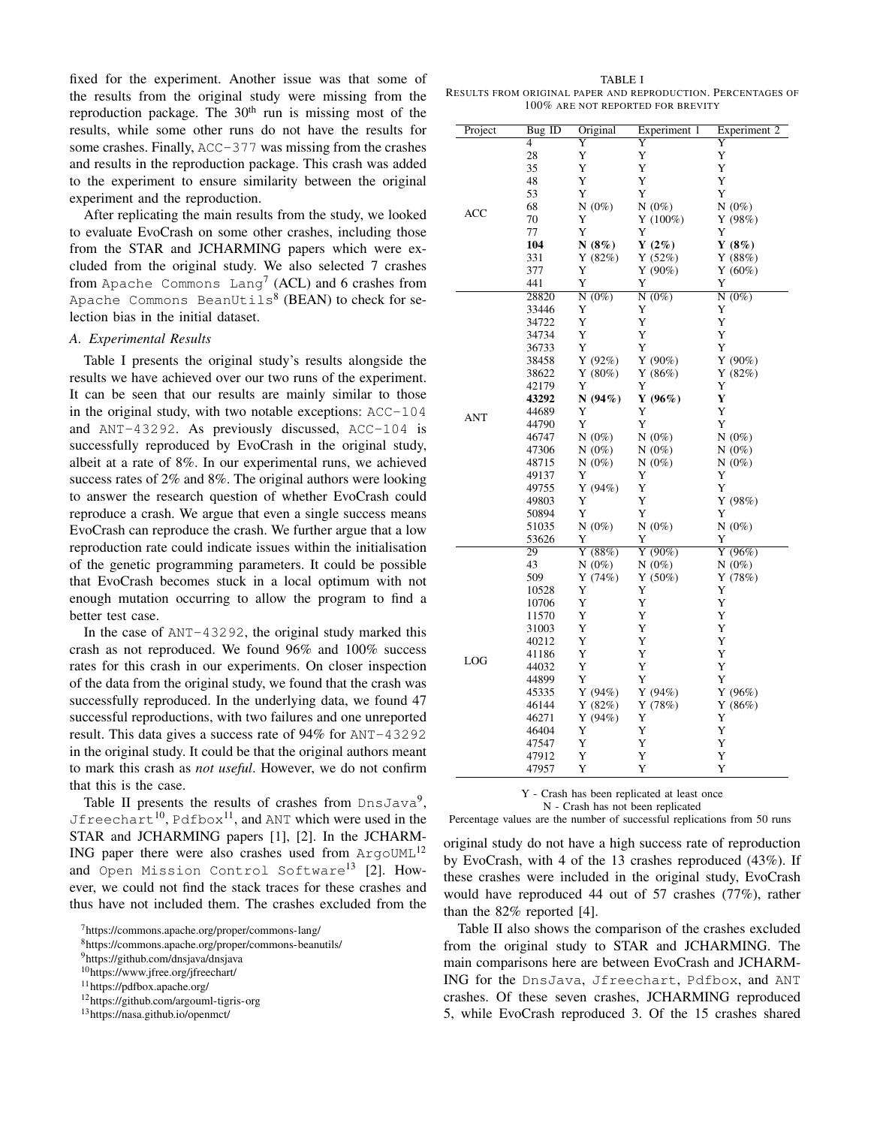fixed for the experiment. Another issue was that some of the results from the original study were missing from the reproduction package. The  $30<sup>th</sup>$  run is missing most of the results, while some other runs do not have the results for some crashes. Finally, ACC-377 was missing from the crashes and results in the reproduction package. This crash was added to the experiment to ensure similarity between the original experiment and the reproduction.

After replicating the main results from the study, we looked to evaluate EvoCrash on some other crashes, including those from the STAR and JCHARMING papers which were excluded from the original study. We also selected 7 crashes from Apache Commons Lang<sup>[7](#page-2-0)</sup> (ACL) and 6 crashes from Apache Commons BeanUtils $^8$  $^8$  (BEAN) to check for selection bias in the initial dataset.

## *A. Experimental Results*

Table [I](#page-2-2) presents the original study's results alongside the results we have achieved over our two runs of the experiment. It can be seen that our results are mainly similar to those in the original study, with two notable exceptions: ACC-104 and ANT-43292. As previously discussed, ACC-104 is successfully reproduced by EvoCrash in the original study, albeit at a rate of 8%. In our experimental runs, we achieved success rates of 2% and 8%. The original authors were looking to answer the research question of whether EvoCrash could reproduce a crash. We argue that even a single success means EvoCrash can reproduce the crash. We further argue that a low reproduction rate could indicate issues within the initialisation of the genetic programming parameters. It could be possible that EvoCrash becomes stuck in a local optimum with not enough mutation occurring to allow the program to find a better test case.

In the case of ANT-43292, the original study marked this crash as not reproduced. We found 96% and 100% success rates for this crash in our experiments. On closer inspection of the data from the original study, we found that the crash was successfully reproduced. In the underlying data, we found 47 successful reproductions, with two failures and one unreported result. This data gives a success rate of 94% for ANT-43292 in the original study. It could be that the original authors meant to mark this crash as *not useful*. However, we do not confirm that this is the case.

Table [II](#page-3-0) presents the results of crashes from  $DnsJava<sup>9</sup>$  $DnsJava<sup>9</sup>$  $DnsJava<sup>9</sup>$ , Jfreechart $^{10}$  $^{10}$  $^{10}$ , Pdfbox $^{11}$  $^{11}$  $^{11}$ , and ANT which were used in the STAR and JCHARMING papers [\[1\]](#page-4-0), [\[2\]](#page-4-2). In the JCHARM-ING paper there were also crashes used from  $Arg_{\text{O}}$ UML<sup>[12](#page-2-6)</sup> and Open Mission Control Software<sup>[13](#page-2-7)</sup> [\[2\]](#page-4-2). However, we could not find the stack traces for these crashes and thus have not included them. The crashes excluded from the

<span id="page-2-6"></span><sup>12</sup><https://github.com/argouml-tigris-org>

<span id="page-2-2"></span>TABLE I RESULTS FROM ORIGINAL PAPER AND REPRODUCTION. PERCENTAGES OF 100% ARE NOT REPORTED FOR BREVITY

| Project | Bug ID         | Original             | Experiment 1    | Experiment 2 |
|---------|----------------|----------------------|-----------------|--------------|
|         | $\overline{4}$ | Y                    | Y               | Y            |
|         | 28             | Y                    | Y               | Y            |
|         | 35             | Y                    | Y               | Y            |
|         | 48             | Y                    | Y               | Y            |
|         | 53             | Y                    | Y               | Y            |
| ACC     | 68             | $N(0\%)$             | $N(0\%)$        | $N(0\%)$     |
|         | 70             | Y                    | $Y(100\%)$      | Y(98%)       |
|         | 77             | Y                    | Y               | Y            |
|         | 104            | N $(8\%)$            | $Y(2\%)$        | Y $(8\%)$    |
|         | 331            | Y(82%)               | Y $(52%)$       | Y(88%)       |
|         | 377            | Y                    | Y (90%)         | $Y(60\%)$    |
|         | 441            | Y                    | Y               | Y            |
|         | 28820          | $N(0\%)$             | N(0%)           | N(0%)        |
|         | 33446          | Y                    | Y               | Y            |
|         | 34722          | Y                    | Y               | Y            |
|         | 34734          | Y                    | Y               | Y            |
|         | 36733          | Y                    | Y               | Y            |
|         | 38458          | Y(92%)               | Y(90%)          | Y(90%)       |
|         | 38622          | Y(80%)               | Y(86%)          | Y(82%)       |
|         | 42179          | Y                    | Y               | Y            |
|         | 43292          | N(94%)               | Y $(96\%)$      | Y            |
|         | 44689          | Y                    | Y               | Y            |
| ANT     | 44790          | Y                    | Y               | Y            |
|         | 46747          | $N(0\%)$             | $N(0\%)$        | $N(0\%)$     |
|         | 47306          | $N(0\%)$             | $N(0\%)$        | $N(0\%)$     |
|         | 48715          | $N(0\%)$             | $N(0\%)$        | $N(0\%)$     |
|         | 49137          | Y                    | Y               | Y            |
|         | 49755          | Y(94%)               | Y               | Y            |
|         | 49803          | Y                    | Y               | Y(98%)       |
|         | 50894          | Y                    | Y               | Y            |
|         | 51035          | $N(0\%)$             | $N(0\%)$        | $N(0\%)$     |
|         | 53626          | Y                    | Y               | Y            |
|         | 29             | $\overline{Y}$ (88%) | Y(90%)          | Y(96%)       |
| LOG     | 43             |                      |                 |              |
|         | 509            | $N(0\%)$<br>Y(74%)   | $N(0\%)$        | $N(0\%)$     |
|         | 10528          | Y                    | Y $(50\%)$<br>Y | Y(78%)<br>Y  |
|         |                | Y                    | Y               | Y            |
|         | 10706<br>11570 | Y                    | Y               | Y            |
|         |                | Y                    | Y               | Y            |
|         | 31003          | Y                    | Y               | Y            |
|         | 40212          | Y                    | Y               | Y            |
|         | 41186          |                      |                 |              |
|         | 44032          | Y                    | Y               | Y            |
|         | 44899          | Y                    | Y               | Y            |
|         | 45335          | Y(94%)               | Y(94%)          | Y(96%)       |
|         | 46144          | Y(82%)               | Y(78%)          | Y(86%)       |
|         | 46271          | Y(94%)               | Y               | Y            |
|         | 46404          | Y                    | Y               | Y            |
|         | 47547          | Y                    | Y               | Y            |
|         | 47912          | Y                    | Y               | Y            |
|         | 47957          | Y                    | Y               | Y            |

Y - Crash has been replicated at least once

N - Crash has not been replicated

Percentage values are the number of successful replications from 50 runs

original study do not have a high success rate of reproduction by EvoCrash, with 4 of the 13 crashes reproduced (43%). If these crashes were included in the original study, EvoCrash would have reproduced 44 out of 57 crashes (77%), rather than the 82% reported [\[4\]](#page-4-3).

Table [II](#page-3-0) also shows the comparison of the crashes excluded from the original study to STAR and JCHARMING. The main comparisons here are between EvoCrash and JCHARM-ING for the DnsJava, Jfreechart, Pdfbox, and ANT crashes. Of these seven crashes, JCHARMING reproduced 5, while EvoCrash reproduced 3. Of the 15 crashes shared

<span id="page-2-0"></span><sup>7</sup><https://commons.apache.org/proper/commons-lang/>

<span id="page-2-1"></span><sup>8</sup><https://commons.apache.org/proper/commons-beanutils/>

<span id="page-2-3"></span><sup>9</sup><https://github.com/dnsjava/dnsjava>

<span id="page-2-4"></span><sup>10</sup><https://www.jfree.org/jfreechart/>

<span id="page-2-5"></span><sup>11</sup><https://pdfbox.apache.org/>

<span id="page-2-7"></span><sup>13</sup><https://nasa.github.io/openmct/>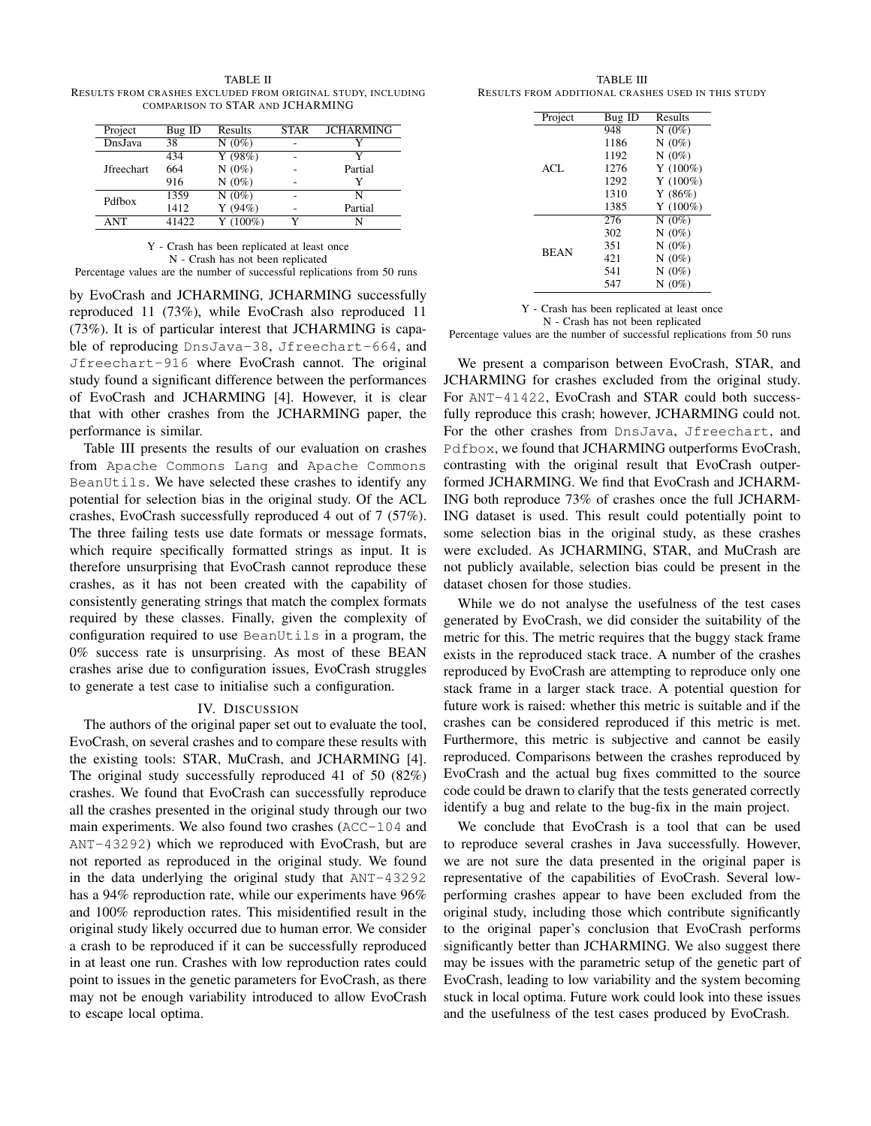<span id="page-3-0"></span>TABLE II RESULTS FROM CRASHES EXCLUDED FROM ORIGINAL STUDY, INCLUDING COMPARISON TO STAR AND JCHARMING

| Project           | Bug ID | Results           | <b>STAR</b> | <b>JCHARMING</b> |
|-------------------|--------|-------------------|-------------|------------------|
| DnsJava           | 38     | $N(0\%)$          |             |                  |
| <b>Jfreechart</b> | 434    | Y $(98%)$         |             | v                |
|                   | 664    | $N(0\%)$          |             | Partial          |
|                   | 916    | $N(0\%)$          |             | Y                |
| Pdfbox            | 1359   | $N(0\%)$          | ۰           | N                |
|                   | 1412   | Y(94%)            |             | Partial          |
| <b>ANT</b>        | 41422  | $\sqrt{Y(100\%)}$ |             |                  |

Y - Crash has been replicated at least once N - Crash has not been replicated

Percentage values are the number of successful replications from 50 runs

by EvoCrash and JCHARMING, JCHARMING successfully reproduced 11 (73%), while EvoCrash also reproduced 11 (73%). It is of particular interest that JCHARMING is capable of reproducing DnsJava-38, Jfreechart-664, and Jfreechart-916 where EvoCrash cannot. The original study found a significant difference between the performances of EvoCrash and JCHARMING [\[4\]](#page-4-3). However, it is clear that with other crashes from the JCHARMING paper, the performance is similar.

Table [III](#page-3-1) presents the results of our evaluation on crashes from Apache Commons Lang and Apache Commons BeanUtils. We have selected these crashes to identify any potential for selection bias in the original study. Of the ACL crashes, EvoCrash successfully reproduced 4 out of 7 (57%). The three failing tests use date formats or message formats, which require specifically formatted strings as input. It is therefore unsurprising that EvoCrash cannot reproduce these crashes, as it has not been created with the capability of consistently generating strings that match the complex formats required by these classes. Finally, given the complexity of configuration required to use BeanUtils in a program, the 0% success rate is unsurprising. As most of these BEAN crashes arise due to configuration issues, EvoCrash struggles to generate a test case to initialise such a configuration.

#### IV. DISCUSSION

The authors of the original paper set out to evaluate the tool, EvoCrash, on several crashes and to compare these results with the existing tools: STAR, MuCrash, and JCHARMING [\[4\]](#page-4-3). The original study successfully reproduced 41 of 50 (82%) crashes. We found that EvoCrash can successfully reproduce all the crashes presented in the original study through our two main experiments. We also found two crashes (ACC-104 and ANT-43292) which we reproduced with EvoCrash, but are not reported as reproduced in the original study. We found in the data underlying the original study that ANT-43292 has a 94% reproduction rate, while our experiments have 96% and 100% reproduction rates. This misidentified result in the original study likely occurred due to human error. We consider a crash to be reproduced if it can be successfully reproduced in at least one run. Crashes with low reproduction rates could point to issues in the genetic parameters for EvoCrash, as there may not be enough variability introduced to allow EvoCrash to escape local optima.

<span id="page-3-1"></span>TABLE III RESULTS FROM ADDITIONAL CRASHES USED IN THIS STUDY

| Project     | Bug ID | Results     |
|-------------|--------|-------------|
|             | 948    | N $(0\%)$   |
|             | 1186   | N $(0\%)$   |
|             | 1192   | $N(0\%)$    |
| ACL         | 1276   | $Y(100\%)$  |
|             | 1292   | Y $(100\%)$ |
|             | 1310   | Y(86%)      |
|             | 1385   | $Y(100\%)$  |
|             | 276    | $N(0\%)$    |
|             | 302    | N $(0\%)$   |
| <b>BEAN</b> | 351    | $N(0\%)$    |
|             | 421    | N $(0\%)$   |
|             | 541    | $N(0\%)$    |
|             | 547    | $N(0\%)$    |
|             |        |             |

Y - Crash has been replicated at least once N - Crash has not been replicated

Percentage values are the number of successful replications from 50 runs

We present a comparison between EvoCrash, STAR, and JCHARMING for crashes excluded from the original study. For ANT-41422, EvoCrash and STAR could both successfully reproduce this crash; however, JCHARMING could not. For the other crashes from DnsJava, Jfreechart, and Pdfbox, we found that JCHARMING outperforms EvoCrash, contrasting with the original result that EvoCrash outperformed JCHARMING. We find that EvoCrash and JCHARM-ING both reproduce 73% of crashes once the full JCHARM-ING dataset is used. This result could potentially point to some selection bias in the original study, as these crashes were excluded. As JCHARMING, STAR, and MuCrash are not publicly available, selection bias could be present in the dataset chosen for those studies.

While we do not analyse the usefulness of the test cases generated by EvoCrash, we did consider the suitability of the metric for this. The metric requires that the buggy stack frame exists in the reproduced stack trace. A number of the crashes reproduced by EvoCrash are attempting to reproduce only one stack frame in a larger stack trace. A potential question for future work is raised: whether this metric is suitable and if the crashes can be considered reproduced if this metric is met. Furthermore, this metric is subjective and cannot be easily reproduced. Comparisons between the crashes reproduced by EvoCrash and the actual bug fixes committed to the source code could be drawn to clarify that the tests generated correctly identify a bug and relate to the bug-fix in the main project.

We conclude that EvoCrash is a tool that can be used to reproduce several crashes in Java successfully. However, we are not sure the data presented in the original paper is representative of the capabilities of EvoCrash. Several lowperforming crashes appear to have been excluded from the original study, including those which contribute significantly to the original paper's conclusion that EvoCrash performs significantly better than JCHARMING. We also suggest there may be issues with the parametric setup of the genetic part of EvoCrash, leading to low variability and the system becoming stuck in local optima. Future work could look into these issues and the usefulness of the test cases produced by EvoCrash.